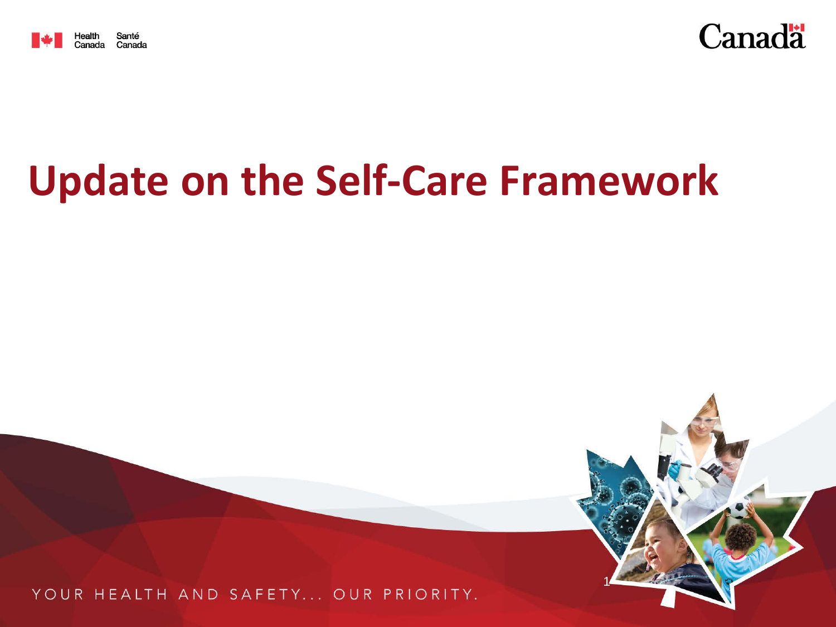



1

# **Update on the Self-Care Framework**

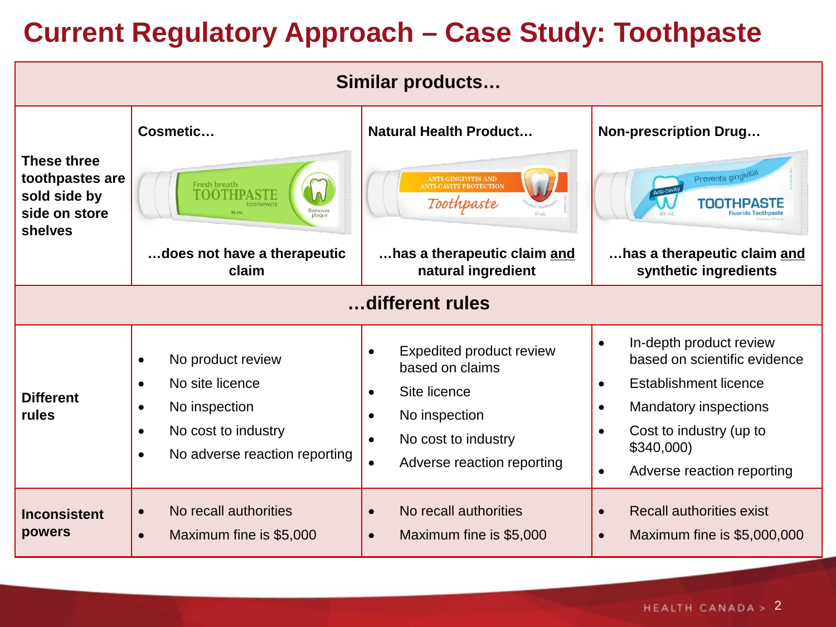#### **Current Regulatory Approach – Case Study: Toothpaste**

| Similar products                                                                  |                                                                                                                                                                                |                                                                                                                                                                                                    |                                                                                                                                                                                                                                                   |
|-----------------------------------------------------------------------------------|--------------------------------------------------------------------------------------------------------------------------------------------------------------------------------|----------------------------------------------------------------------------------------------------------------------------------------------------------------------------------------------------|---------------------------------------------------------------------------------------------------------------------------------------------------------------------------------------------------------------------------------------------------|
| <b>These three</b><br>toothpastes are<br>sold side by<br>side on store<br>shelves | Cosmetic<br>Fresh breath<br>$\Omega$<br>Removes<br>plaque<br>$85$ mL<br>does not have a therapeutic<br>claim                                                                   | <b>Natural Health Product</b><br><b>ANTI-GINGIVITIS AND<br/>NNTI-CAVITY PROTECTION</b><br>Toothpaste<br>has a therapeutic claim and<br>natural ingredient                                          | <b>Non-prescription Drug</b><br>Prevents gingivity<br>TOOTHPAST<br>has a therapeutic claim and<br>synthetic ingredients                                                                                                                           |
| different rules                                                                   |                                                                                                                                                                                |                                                                                                                                                                                                    |                                                                                                                                                                                                                                                   |
| <b>Different</b><br>rules                                                         | No product review<br>$\bullet$<br>No site licence<br>$\bullet$<br>No inspection<br>$\bullet$<br>No cost to industry<br>$\bullet$<br>No adverse reaction reporting<br>$\bullet$ | Expedited product review<br>$\bullet$<br>based on claims<br>Site licence<br>$\bullet$<br>No inspection<br>$\bullet$<br>No cost to industry<br>$\bullet$<br>Adverse reaction reporting<br>$\bullet$ | In-depth product review<br>$\bullet$<br>based on scientific evidence<br><b>Establishment licence</b><br>$\bullet$<br><b>Mandatory inspections</b><br>$\bullet$<br>Cost to industry (up to<br>\$340,000<br>Adverse reaction reporting<br>$\bullet$ |
| <b>Inconsistent</b><br>powers                                                     | No recall authorities<br>$\bullet$<br>Maximum fine is \$5,000<br>$\bullet$                                                                                                     | No recall authorities<br>$\bullet$<br>Maximum fine is \$5,000<br>$\bullet$                                                                                                                         | <b>Recall authorities exist</b><br>$\bullet$<br>Maximum fine is \$5,000,000<br>$\bullet$                                                                                                                                                          |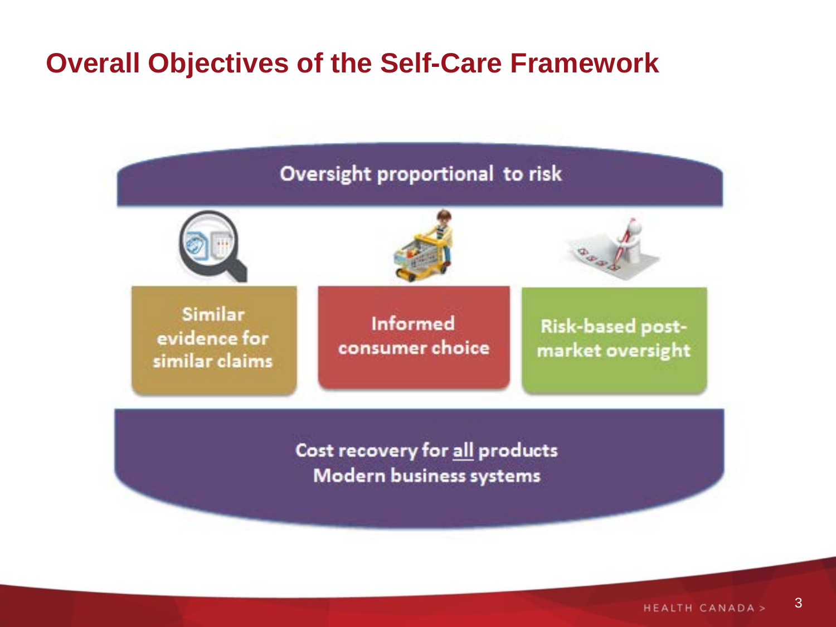#### **Overall Objectives of the Self-Care Framework**

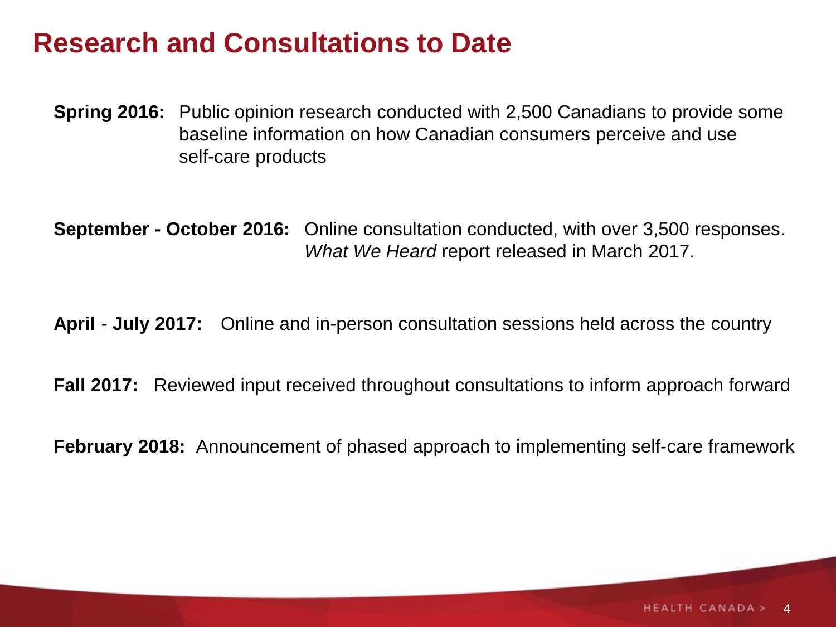#### **Research and Consultations to Date**

**Spring 2016:** Public opinion research conducted with 2,500 Canadians to provide some baseline information on how Canadian consumers perceive and use self-care products

**September - October 2016:** Online consultation conducted, with over 3,500 responses. *What We Heard* report released in March 2017.

**April** - **July 2017:** Online and in-person consultation sessions held across the country

**Fall 2017:** Reviewed input received throughout consultations to inform approach forward

**February 2018:** Announcement of phased approach to implementing self-care framework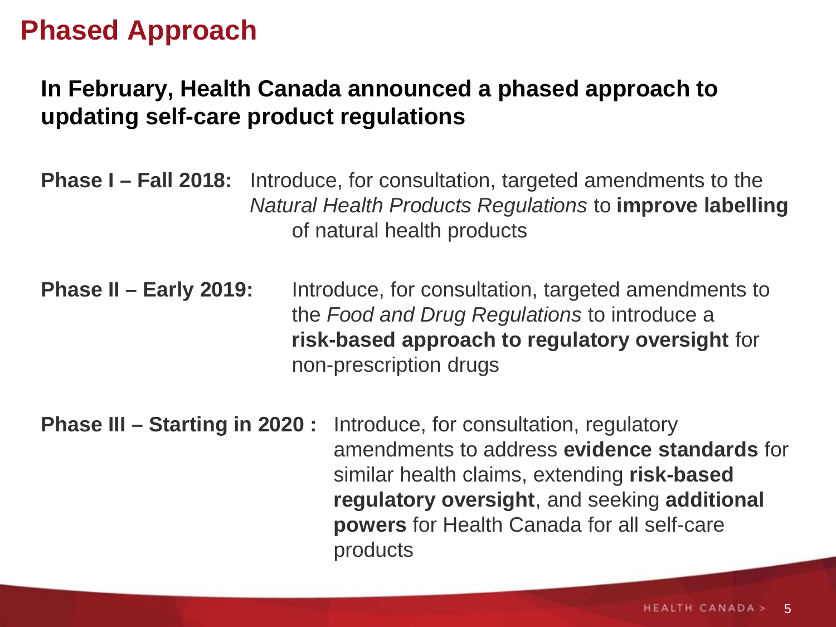#### **Phased Approach**

#### **In February, Health Canada announced a phased approach to updating self-care product regulations**

- **Phase I – Fall 2018:** Introduce, for consultation, targeted amendments to the *Natural Health Products Regulations* to **improve labelling**  of natural health products
- **Phase II – Early 2019:** Introduce, for consultation, targeted amendments to the *Food and Drug Regulations* to introduce a **risk-based approach to regulatory oversight** for non-prescription drugs
- **Phase III – Starting in 2020 :** Introduce, for consultation, regulatory amendments to address **evidence standards** for similar health claims, extending **risk-based regulatory oversight**, and seeking **additional powers** for Health Canada for all self-care products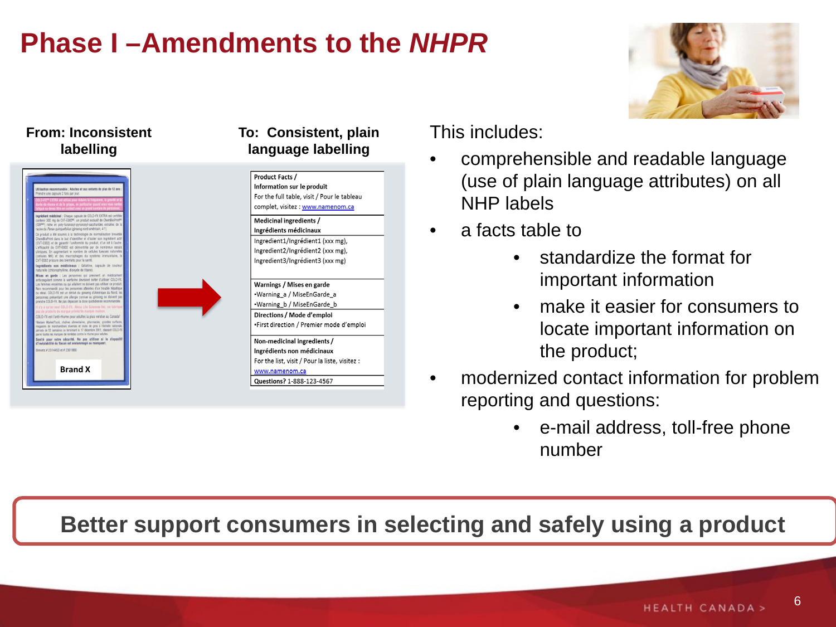# **Phase I –Amendments to the** *NHPR*



#### **From: Inconsistent labelling**



#### **To: Consistent, plain language labelling**



Directions / Mode d'emploi \*First direction / Premier mode d'emploi

Non-medicinal ingredients / Ingrédients non médicinaux For the list, visit / Pour la liste, visitez :

www.namenom.ca Questions? 1-888-123-4567 This includes:

- comprehensible and readable language (use of plain language attributes) on all NHP labels
- a facts table to
	- standardize the format for important information
	- make it easier for consumers to locate important information on the product;
- modernized contact information for problem reporting and questions:
	- e-mail address, toll-free phone number

#### **Better support consumers in selecting and safely using a product**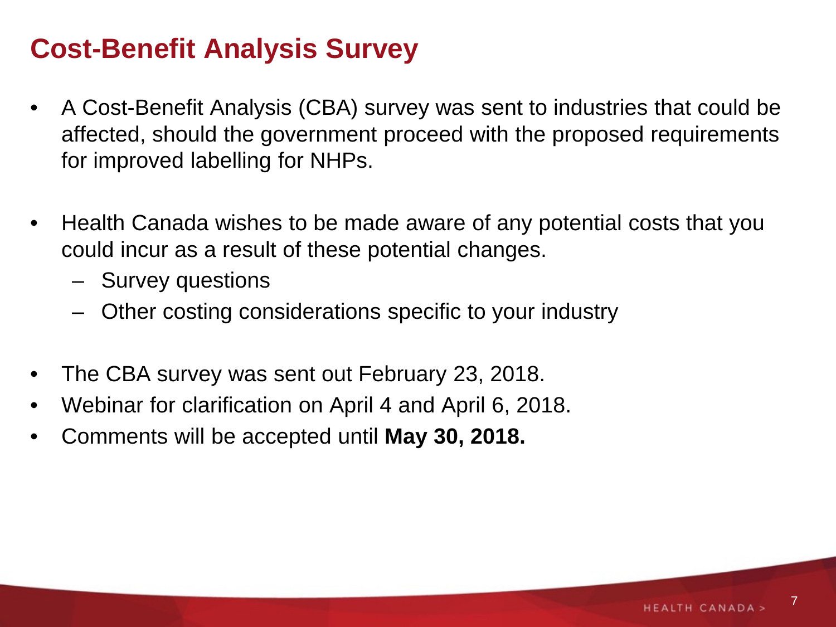#### **Cost-Benefit Analysis Survey**

- A Cost-Benefit Analysis (CBA) survey was sent to industries that could be affected, should the government proceed with the proposed requirements for improved labelling for NHPs.
- Health Canada wishes to be made aware of any potential costs that you could incur as a result of these potential changes.
	- Survey questions
	- Other costing considerations specific to your industry
- The CBA survey was sent out February 23, 2018.
- Webinar for clarification on April 4 and April 6, 2018.
- Comments will be accepted until **May 30, 2018.**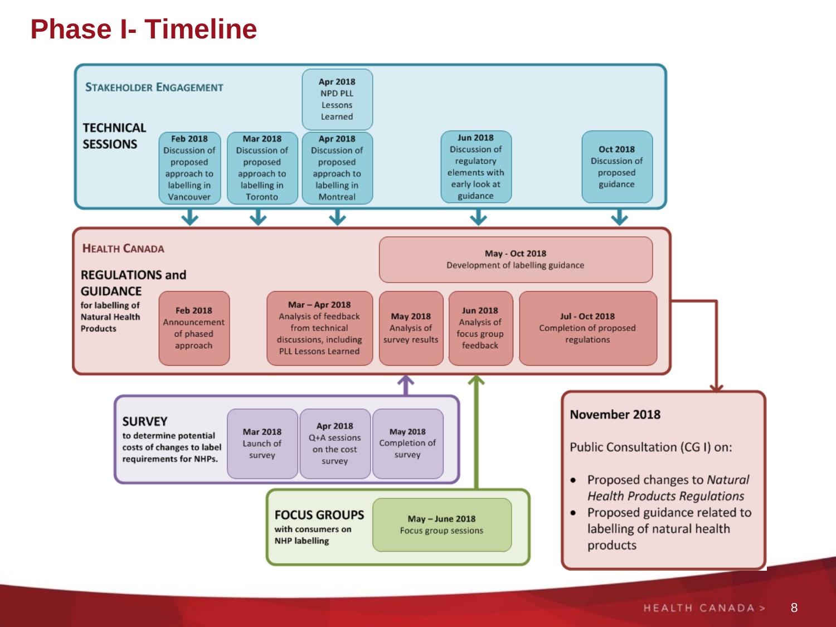#### **Phase I- Timeline**

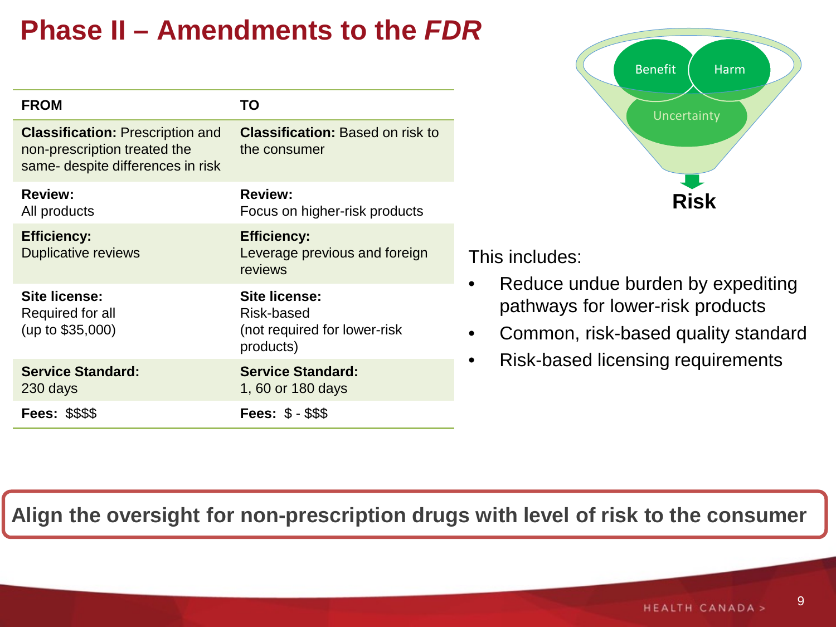# **Phase II – Amendments to the** *FDR*

| <b>FROM</b>                                                                                                  | TO                                                                              |
|--------------------------------------------------------------------------------------------------------------|---------------------------------------------------------------------------------|
| <b>Classification: Prescription and</b><br>non-prescription treated the<br>same- despite differences in risk | <b>Classification: Based on risk to</b><br>the consumer                         |
| <b>Review:</b><br>All products                                                                               | <b>Review:</b><br>Focus on higher-risk products                                 |
| <b>Efficiency:</b><br><b>Duplicative reviews</b>                                                             | <b>Efficiency:</b><br>Leverage previous and foreign<br>reviews                  |
| Site license:<br>Required for all<br>(up to \$35,000)                                                        | <b>Site license:</b><br>Risk-based<br>(not required for lower-risk<br>products) |
| <b>Service Standard:</b><br>230 days                                                                         | <b>Service Standard:</b><br>1, 60 or 180 days                                   |
| <b>Fees: \$\$\$\$</b>                                                                                        | <b>Fees: \$ - \$\$\$</b>                                                        |



This includes:

- Reduce undue burden by expediting pathways for lower-risk products
- Common, risk-based quality standard
- Risk-based licensing requirements

#### **Align the oversight for non-prescription drugs with level of risk to the consumer**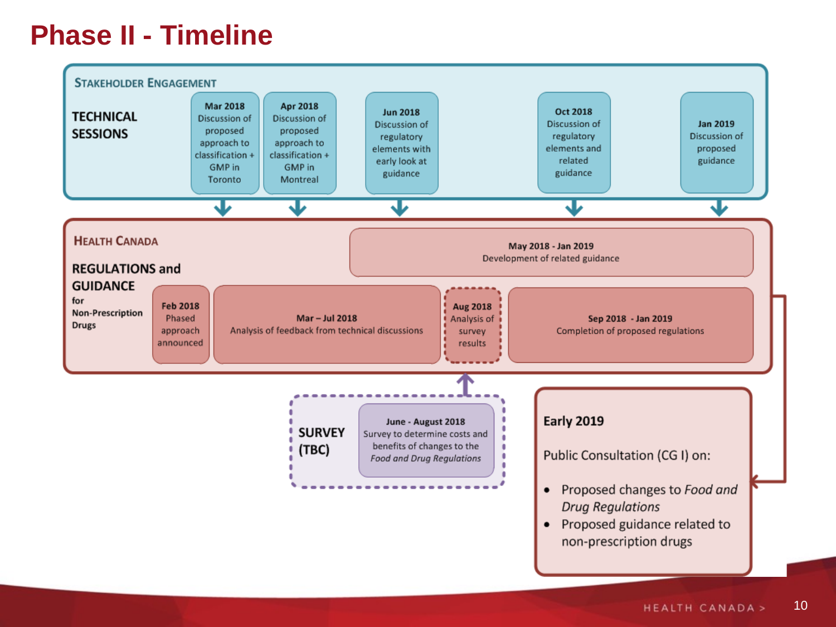#### **Phase II - Timeline**

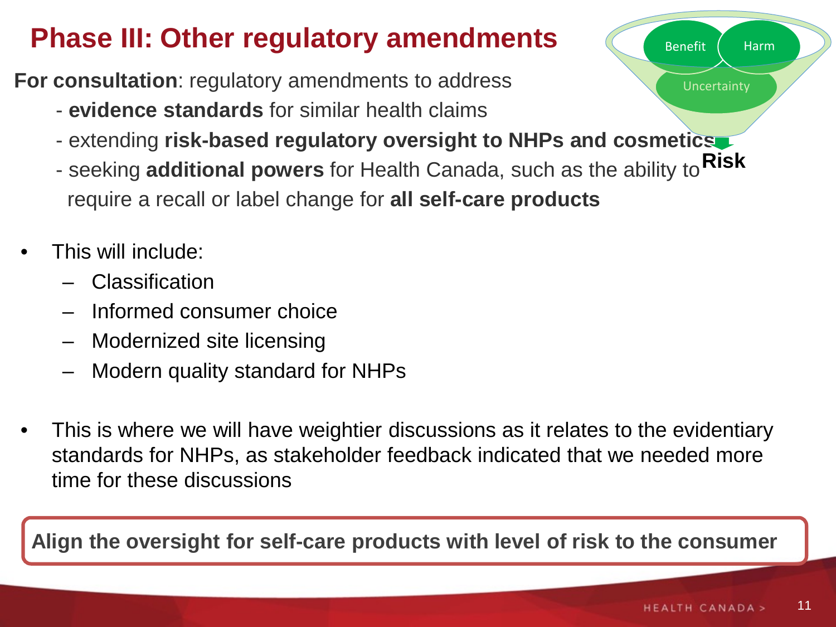# **Phase III: Other regulatory amendments**

**For consultation**: regulatory amendments to address

- **evidence standards** for similar health claims
- extending **risk-based regulatory oversight to NHPs and cosmetics**
- seeking **additional powers** for Health Canada, such as the ability to **Risk** require a recall or label change for **all self-care products**
- This will include:
	- Classification
	- Informed consumer choice
	- Modernized site licensing
	- Modern quality standard for NHPs
- This is where we will have weightier discussions as it relates to the evidentiary standards for NHPs, as stakeholder feedback indicated that we needed more time for these discussions

**Align the oversight for self-care products with level of risk to the consumer**

Uncertainty

Benefit Harm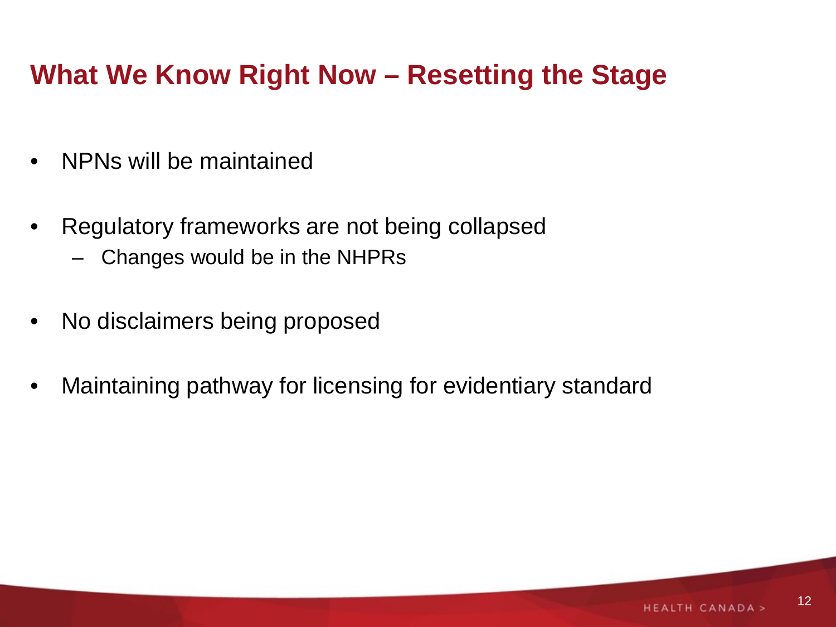## **What We Know Right Now – Resetting the Stage**

- NPNs will be maintained
- Regulatory frameworks are not being collapsed
	- Changes would be in the NHPRs
- No disclaimers being proposed
- Maintaining pathway for licensing for evidentiary standard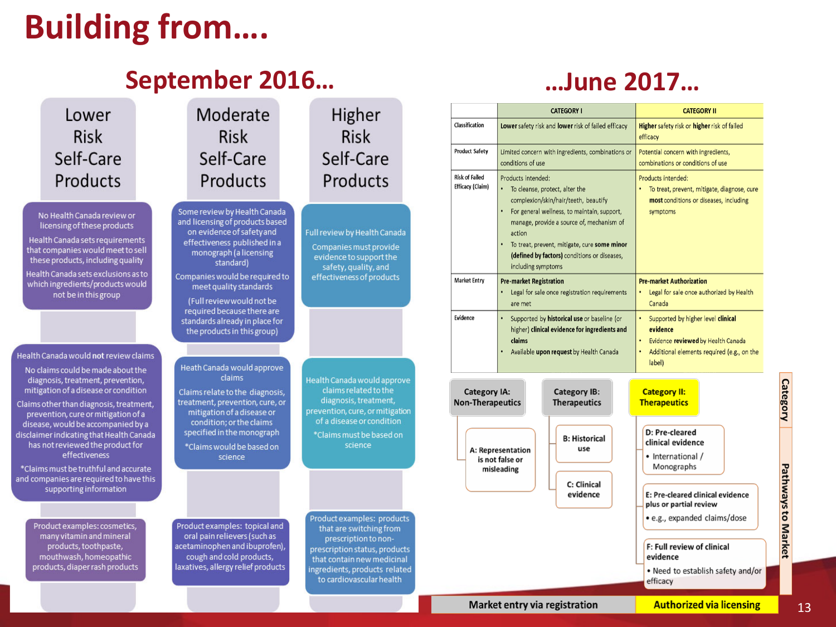# **Building from….**

#### **September 2016…**



#### **…June 2017…**

|                                                | <b>CATEGORY I</b>                                                                                                                                      |                                                                                                                                                                                                                                                                    | <b>CATEGORY II</b>                                                                                                                                          |  |
|------------------------------------------------|--------------------------------------------------------------------------------------------------------------------------------------------------------|--------------------------------------------------------------------------------------------------------------------------------------------------------------------------------------------------------------------------------------------------------------------|-------------------------------------------------------------------------------------------------------------------------------------------------------------|--|
| Classification                                 | Lower safety risk and lower risk of failed efficacy                                                                                                    |                                                                                                                                                                                                                                                                    | Higher safety risk or higher risk of failed<br>efficacy                                                                                                     |  |
| Product Safety                                 | Limited concern with ingredients, combinations or<br>conditions of use                                                                                 |                                                                                                                                                                                                                                                                    | Potential concern with ingredients,<br>combinations or conditions of use                                                                                    |  |
| <b>Risk of Failed</b><br>Efficacy (Claim)      | Products intended:<br>٠<br>action<br>including symptoms                                                                                                | To cleanse, protect, alter the<br>complexion/skin/hair/teeth, beautify<br>For general wellness, to maintain, support,<br>manage, provide a source of, mechanism of<br>To treat, prevent, mitigate, cure some minor<br>(defined by factors) conditions or diseases, | Products intended:<br>To treat, prevent, mitigate, diagnose, cure<br>most conditions or diseases, including<br>symptoms                                     |  |
| Market Entry                                   | <b>Pre-market Registration</b><br>Legal for sale once registration requirements<br>are met                                                             |                                                                                                                                                                                                                                                                    | <b>Pre-market Authorization</b><br>Legal for sale once authorized by Health<br>Canada                                                                       |  |
| Evidence                                       | ٠<br>Supported by historical use or baseline (or<br>higher) clinical evidence for ingredients and<br>claims<br>Available upon request by Health Canada |                                                                                                                                                                                                                                                                    | ۰<br>Supported by higher level clinical<br>evidence<br>Evidence reviewed by Health Canada<br>٠<br>٠<br>Additional elements required (e.g., on the<br>label) |  |
| <b>Category IA:</b><br><b>Non-Therapeutics</b> |                                                                                                                                                        | <b>Category IB:</b><br><b>Therapeutics</b>                                                                                                                                                                                                                         | <b>Category II:</b><br><b>Therapeutics</b>                                                                                                                  |  |
|                                                | A: Representation<br>is not false or<br>misleading                                                                                                     | <b>B: Historical</b><br>use<br>C: Clinical<br>evidence                                                                                                                                                                                                             | D: Pre-cleared<br>clinical evidence<br>• International /<br>Monographs<br>E: Pre-cleared clinical evidence<br>plus or partial review                        |  |
|                                                |                                                                                                                                                        |                                                                                                                                                                                                                                                                    | • e.g., expanded claims/dose<br>F: Full review of clinical<br>evidence<br>• Need to establish safety and/or<br>efficacy                                     |  |

#### Market entry via registration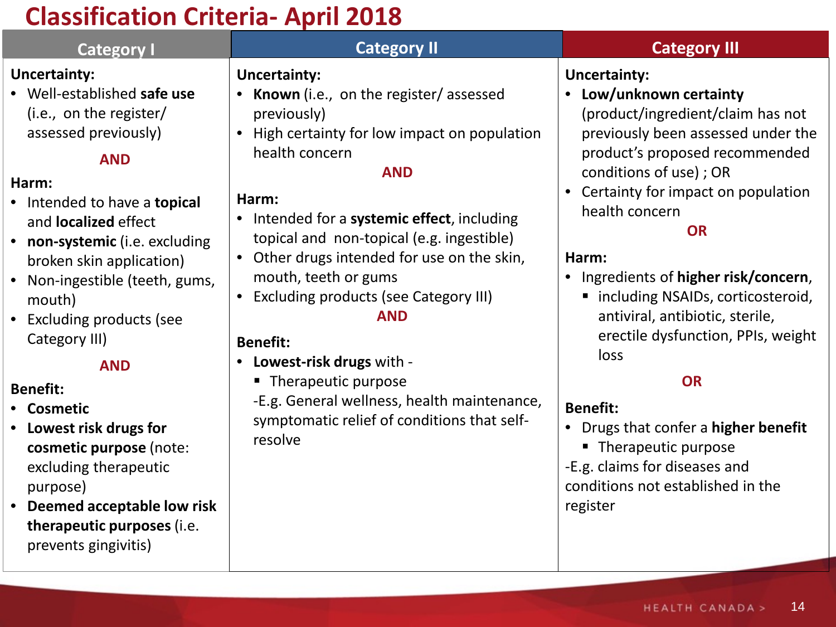#### **Classification Criteria- April 2018**

| <b>Category I</b>                                                                                                                                                                                                                                                                                                                                                                                                                                                                                                                                                                   | <b>Category II</b>                                                                                                                                                                                                                                                                                                                                                                                                                                                                                                                                                                        | <b>Category III</b>                                                                                                                                                                                                                                                                                                                                                                                                                                                                                                                                                                                                                   |
|-------------------------------------------------------------------------------------------------------------------------------------------------------------------------------------------------------------------------------------------------------------------------------------------------------------------------------------------------------------------------------------------------------------------------------------------------------------------------------------------------------------------------------------------------------------------------------------|-------------------------------------------------------------------------------------------------------------------------------------------------------------------------------------------------------------------------------------------------------------------------------------------------------------------------------------------------------------------------------------------------------------------------------------------------------------------------------------------------------------------------------------------------------------------------------------------|---------------------------------------------------------------------------------------------------------------------------------------------------------------------------------------------------------------------------------------------------------------------------------------------------------------------------------------------------------------------------------------------------------------------------------------------------------------------------------------------------------------------------------------------------------------------------------------------------------------------------------------|
| <b>Uncertainty:</b><br>• Well-established safe use<br>(i.e., on the register/<br>assessed previously)<br><b>AND</b><br>Harm:<br>• Intended to have a topical<br>and <b>localized</b> effect<br>• non-systemic (i.e. excluding<br>broken skin application)<br>• Non-ingestible (teeth, gums,<br>mouth)<br>• Excluding products (see<br>Category III)<br><b>AND</b><br><b>Benefit:</b><br>• Cosmetic<br>• Lowest risk drugs for<br>cosmetic purpose (note:<br>excluding therapeutic<br>purpose)<br>• Deemed acceptable low risk<br>therapeutic purposes (i.e.<br>prevents gingivitis) | <b>Uncertainty:</b><br>• Known (i.e., on the register/assessed<br>previously)<br>High certainty for low impact on population<br>health concern<br><b>AND</b><br>Harm:<br>• Intended for a systemic effect, including<br>topical and non-topical (e.g. ingestible)<br>• Other drugs intended for use on the skin,<br>mouth, teeth or gums<br><b>Excluding products (see Category III)</b><br><b>AND</b><br><b>Benefit:</b><br>• Lowest-risk drugs with -<br>• Therapeutic purpose<br>-E.g. General wellness, health maintenance,<br>symptomatic relief of conditions that self-<br>resolve | <b>Uncertainty:</b><br>Low/unknown certainty<br>$\bullet$<br>(product/ingredient/claim has not<br>previously been assessed under the<br>product's proposed recommended<br>conditions of use) ; OR<br>• Certainty for impact on population<br>health concern<br><b>OR</b><br>Harm:<br>• Ingredients of higher risk/concern,<br>• including NSAIDs, corticosteroid,<br>antiviral, antibiotic, sterile,<br>erectile dysfunction, PPIs, weight<br>loss<br><b>OR</b><br><b>Benefit:</b><br>• Drugs that confer a higher benefit<br>• Therapeutic purpose<br>-E.g. claims for diseases and<br>conditions not established in the<br>register |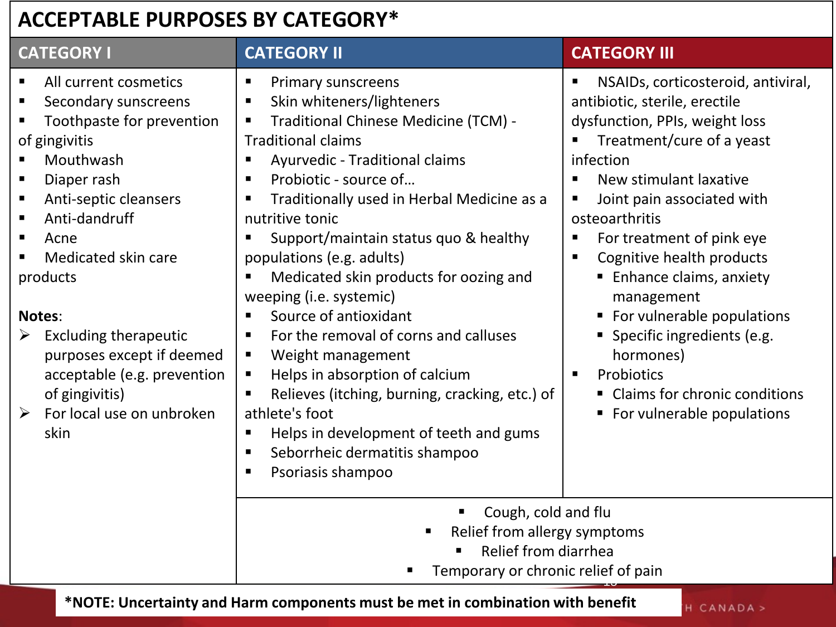#### **ACCEPTABLE PURPOSES BY CATEGORY\***

| <b>CATEGORY I</b>                                                                                                                                                                                                                                                                 | <b>CATEGORY II</b>                                                                                                                                                                                                                                                                                                                                                                                                            | <b>CATEGORY III</b>                                                                                                                                                                                                                                                                                                                                                                   |
|-----------------------------------------------------------------------------------------------------------------------------------------------------------------------------------------------------------------------------------------------------------------------------------|-------------------------------------------------------------------------------------------------------------------------------------------------------------------------------------------------------------------------------------------------------------------------------------------------------------------------------------------------------------------------------------------------------------------------------|---------------------------------------------------------------------------------------------------------------------------------------------------------------------------------------------------------------------------------------------------------------------------------------------------------------------------------------------------------------------------------------|
| All current cosmetics<br>$\blacksquare$<br>Secondary sunscreens<br>п<br>Toothpaste for prevention<br>of gingivitis<br>Mouthwash<br>Diaper rash<br>$\blacksquare$<br>Anti-septic cleansers<br>п<br>Anti-dandruff<br>$\blacksquare$<br>п<br>Acne<br>Medicated skin care<br>products | <b>Primary sunscreens</b><br>п<br>Skin whiteners/lighteners<br>п<br>Traditional Chinese Medicine (TCM) -<br>п<br><b>Traditional claims</b><br>Ayurvedic - Traditional claims<br>п<br>Probiotic - source of<br>٠<br>Traditionally used in Herbal Medicine as a<br>п<br>nutritive tonic<br>Support/maintain status quo & healthy<br>п<br>populations (e.g. adults)<br>Medicated skin products for oozing and<br>$\blacksquare$  | NSAIDs, corticosteroid, antiviral,<br>$\blacksquare$<br>antibiotic, sterile, erectile<br>dysfunction, PPIs, weight loss<br>Treatment/cure of a yeast<br>infection<br>New stimulant laxative<br>$\blacksquare$<br>Joint pain associated with<br>п<br>osteoarthritis<br>For treatment of pink eye<br>п<br>Cognitive health products<br>$\blacksquare$<br><b>Enhance claims, anxiety</b> |
| Notes:<br><b>Excluding therapeutic</b><br>➤<br>purposes except if deemed<br>acceptable (e.g. prevention<br>of gingivitis)<br>For local use on unbroken<br>$\blacktriangleright$<br>skin                                                                                           | weeping (i.e. systemic)<br>Source of antioxidant<br>$\blacksquare$<br>For the removal of corns and calluses<br>٠<br>Weight management<br>п<br>Helps in absorption of calcium<br>$\blacksquare$<br>Relieves (itching, burning, cracking, etc.) of<br>$\blacksquare$<br>athlete's foot<br>Helps in development of teeth and gums<br>$\blacksquare$<br>Seborrheic dermatitis shampoo<br>$\blacksquare$<br>Psoriasis shampoo<br>п | management<br>For vulnerable populations<br>п<br>• Specific ingredients (e.g.<br>hormones)<br>Probiotics<br>$\blacksquare$<br>Claims for chronic conditions<br>• For vulnerable populations                                                                                                                                                                                           |
| Cough, cold and flu<br>$\blacksquare$<br>Relief from allergy symptoms<br>Relief from diarrhea<br>Temporary or chronic relief of pain                                                                                                                                              |                                                                                                                                                                                                                                                                                                                                                                                                                               |                                                                                                                                                                                                                                                                                                                                                                                       |

**\*NOTE: Uncertainty and Harm components must be met in combination with benefit**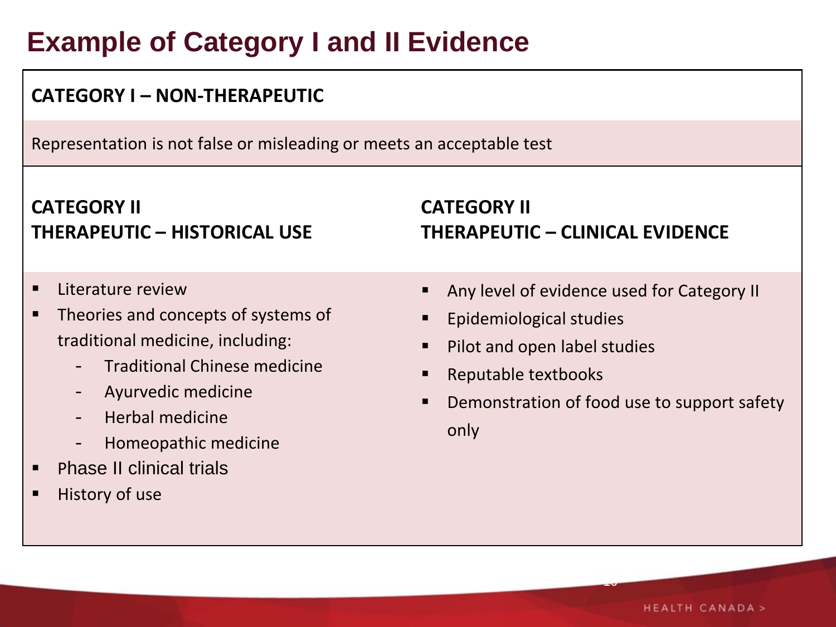# **Example of Category I and II Evidence**

#### **CATEGORY I – NON-THERAPEUTIC** Representation is not false or misleading or meets an acceptable test **CATEGORY II THERAPEUTIC – HISTORICAL USE CATEGORY II THERAPEUTIC – CLINICAL EVIDENCE** Literature review Theories and concepts of systems of traditional medicine, including: - Traditional Chinese medicine - Ayurvedic medicine - Herbal medicine - Homeopathic medicine Phase II clinical trials History of use Any level of evidence used for Category II Epidemiological studies Pilot and open label studies ■ Reputable textbooks Demonstration of food use to support safety only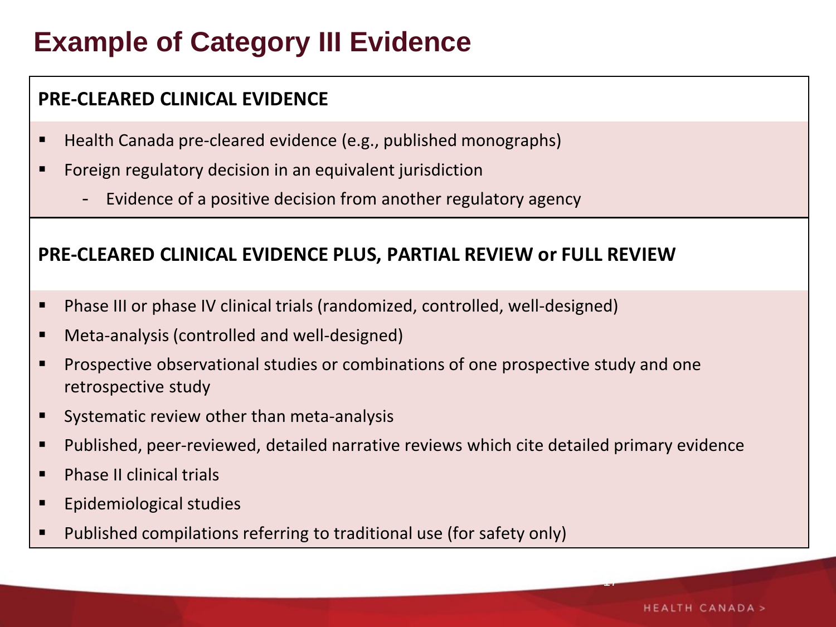# **Example of Category III Evidence**

#### **PRE-CLEARED CLINICAL EVIDENCE**

- Health Canada pre-cleared evidence (e.g., published monographs)
- **Figure 1** Foreign regulatory decision in an equivalent jurisdiction
	- Evidence of a positive decision from another regulatory agency

#### **PRE-CLEARED CLINICAL EVIDENCE PLUS, PARTIAL REVIEW or FULL REVIEW**

- Phase III or phase IV clinical trials (randomized, controlled, well-designed)
- Meta-analysis (controlled and well-designed)
- **Prospective observational studies or combinations of one prospective study and one** retrospective study
- Systematic review other than meta-analysis
- Published, peer-reviewed, detailed narrative reviews which cite detailed primary evidence
- **Phase II clinical trials**
- **Epidemiological studies**
- **Published compilations referring to traditional use (for safety only)**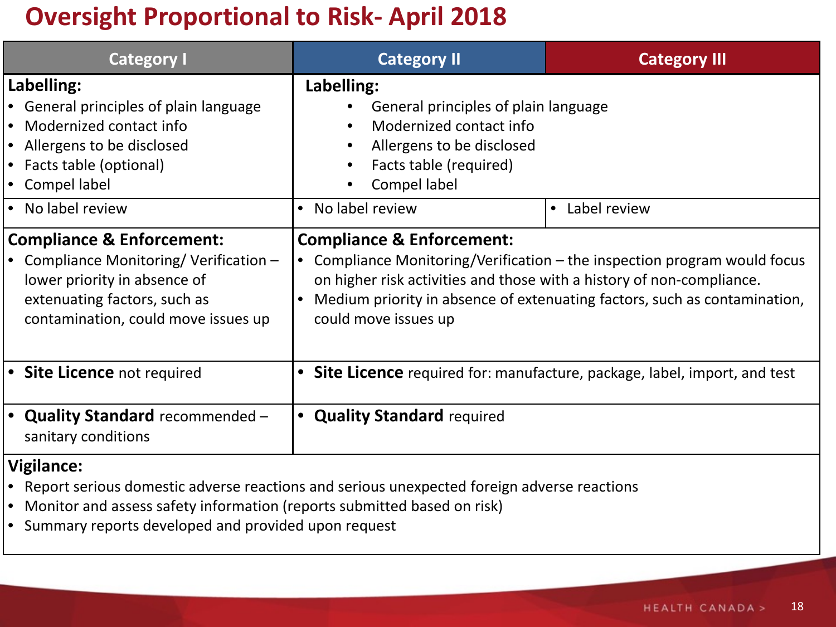#### **Oversight Proportional to Risk- April 2018**

| <b>Category I</b>                                                                                                                                                                                          | <b>Category II</b>                                                                                                                                                                                                                                                                              | <b>Category III</b>                                                      |
|------------------------------------------------------------------------------------------------------------------------------------------------------------------------------------------------------------|-------------------------------------------------------------------------------------------------------------------------------------------------------------------------------------------------------------------------------------------------------------------------------------------------|--------------------------------------------------------------------------|
| Labelling:<br>• General principles of plain language<br>Modernized contact info<br>$\bullet$<br>Allergens to be disclosed<br>$\bullet$<br>Facts table (optional)<br>$\bullet$<br>Compel label<br>$\bullet$ | Labelling:<br>General principles of plain language<br>Modernized contact info<br>Allergens to be disclosed<br>Facts table (required)<br>Compel label                                                                                                                                            |                                                                          |
| No label review<br>∣ ●                                                                                                                                                                                     | No label review<br>$\bullet$                                                                                                                                                                                                                                                                    | Label review<br>$\bullet$                                                |
| <b>Compliance &amp; Enforcement:</b><br>Compliance Monitoring/Verification $-$<br>lower priority in absence of<br>extenuating factors, such as<br>contamination, could move issues up                      | <b>Compliance &amp; Enforcement:</b><br>Compliance Monitoring/Verification $-$ the inspection program would focus<br>on higher risk activities and those with a history of non-compliance.<br>Medium priority in absence of extenuating factors, such as contamination,<br>could move issues up |                                                                          |
| <b>Site Licence not required</b><br>$\bullet$                                                                                                                                                              |                                                                                                                                                                                                                                                                                                 | Site Licence required for: manufacture, package, label, import, and test |
| <b>Quality Standard</b> recommended -<br>$\bullet$<br>sanitary conditions                                                                                                                                  | <b>Quality Standard required</b><br>$\bullet$                                                                                                                                                                                                                                                   |                                                                          |

#### **Vigilance:**

- Report serious domestic adverse reactions and serious unexpected foreign adverse reactions
- Monitor and assess safety information (reports submitted based on risk)
- Summary reports developed and provided upon request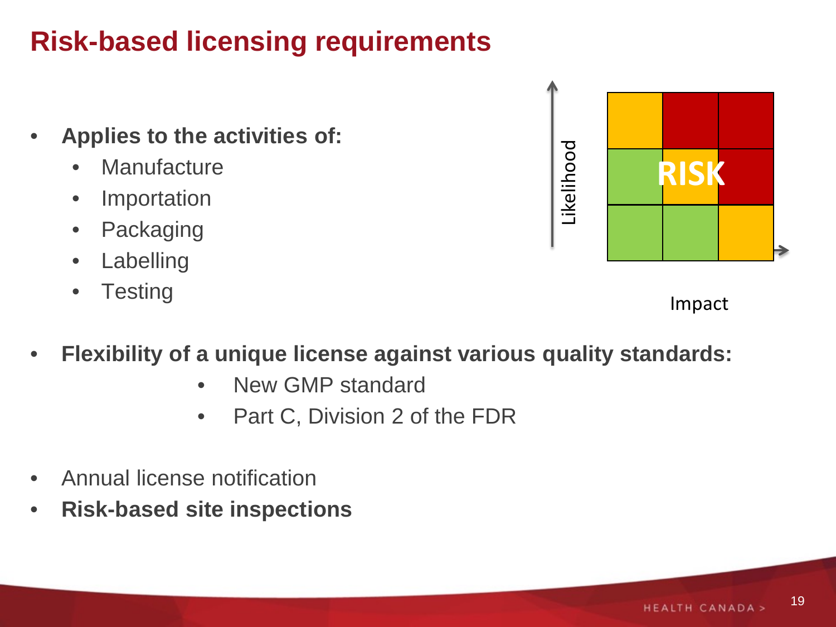# **Risk-based licensing requirements**

- **Applies to the activities of:** 
	- Manufacture
	- Importation
	- Packaging
	- Labelling
	- Testing

Likelihood Likelihood **RISK**

Impact

- **Flexibility of a unique license against various quality standards:**
	- New GMP standard
	- Part C, Division 2 of the FDR
- Annual license notification
- **Risk-based site inspections**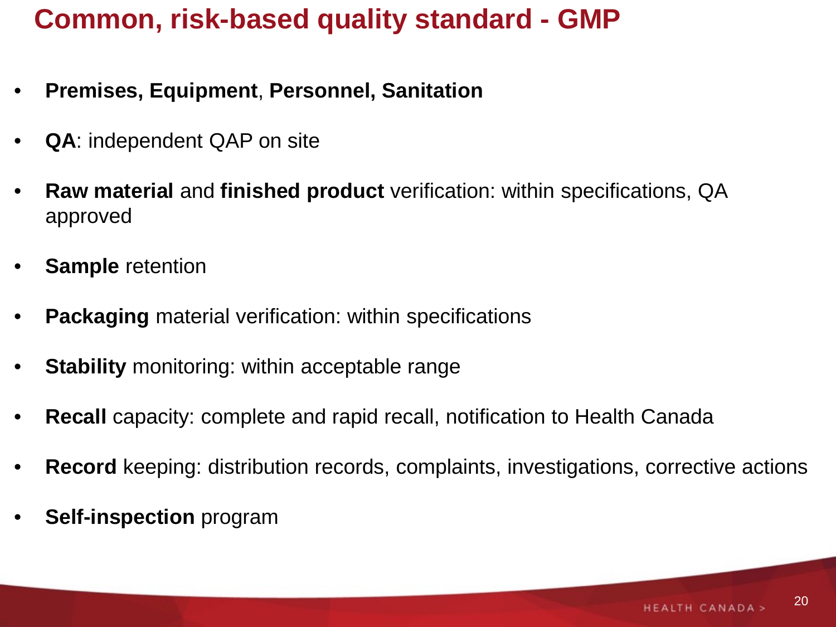## **Common, risk-based quality standard - GMP**

- **Premises, Equipment**, **Personnel, Sanitation**
- **QA**: independent QAP on site
- **Raw material** and **finished product** verification: within specifications, QA approved
- **Sample** retention
- **Packaging** material verification: within specifications
- **Stability** monitoring: within acceptable range
- **Recall** capacity: complete and rapid recall, notification to Health Canada
- **Record** keeping: distribution records, complaints, investigations, corrective actions
- **Self-inspection** program